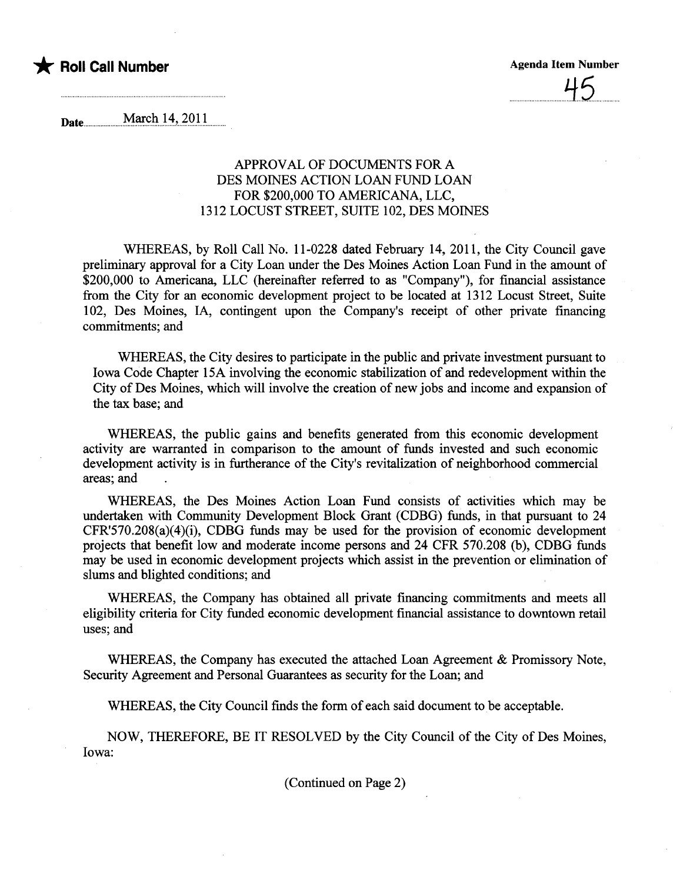## \* Roll Call Number Agenda Item Number



Date<sub>um</sub> March 14, 2011

## APPROVAL OF DOCUMENTS FOR A DES MOINES ACTION LOAN FUND LOAN FOR \$200,000 TO AMERICANA, LLC, 1312 LOCUST STREET, SUITE 102, DES MOINES

WHEREAS, by Roll Call No. 11-0228 dated February 14, 2011, the City Council gave preliminary approval for a City Loan under the Des Moines Action Loan Fund in the amount of \$200,000 to Americana, LLC (hereinafter referred to as "Company"), for financial assistance from the City for an economic development project to be located at 1312 Locust Street, Suite 102, Des Moines, lA, contingent upon the Company's receipt of other private financing commitments; and

WHEREAS, the City desires to participate in the public and private investment pursuant to Iowa Code Chapter 15A involving the economic stabilzation of and redevelopment within the City of Des Moines, which will involve the creation of new jobs and income and expansion of the tax base; and

WHEREAS, the public gains and benefits generated from this economic development activity are waranted in comparison to the amount of fuds invested and such economic development activity is in furtherance of the City's revitalization of neighborhood commercial areas; and

WHEREAS, the Des Moines Action Loan Fund consists of activities which may be undertaken with Communty Development Block Grant (CDBG) fuds, in that pursuant to 24 CFR'570.208(a)(4)(i), CDBG fuds may be used for the provision of economic development projects that benefit low and moderate income persons and 24 CFR 570.208 (b), CDBG fuds may be used in economic development projects which assist in the prevention or elimination of slums and blighted conditions; and

WHEREAS, the Company has obtained all private financing commitments and meets all eligibilty criteria for City fuded economic development financial assistace to downtown retail uses; and

WHEREAS, the Company has executed the attached Loan Agreement & Promissory Note, Security Agreement and Personal Guarantees as security for the Loan; and

WHEREAS, the City Council finds the form of each said document to be acceptable.

NOW, THEREFORE, BE IT RESOLVED by the City Council of the City of Des Moines, Iowa:

(Continued on Page 2)